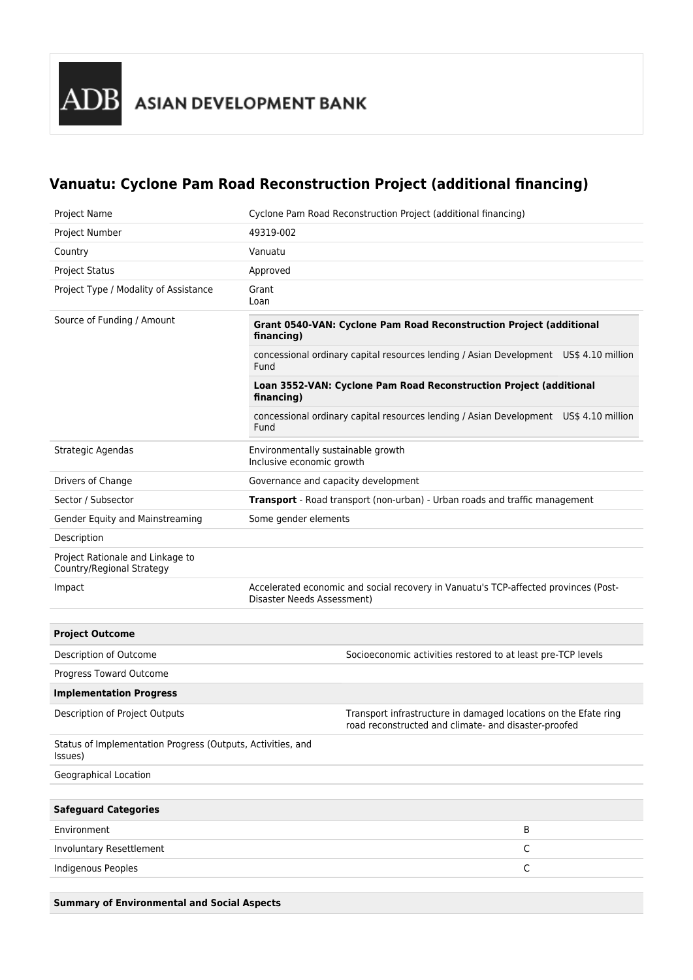## **Vanuatu: Cyclone Pam Road Reconstruction Project (additional financing)**

| <b>Project Name</b>                                                    | Cyclone Pam Road Reconstruction Project (additional financing)                                                          |
|------------------------------------------------------------------------|-------------------------------------------------------------------------------------------------------------------------|
| Project Number                                                         | 49319-002                                                                                                               |
| Country                                                                | Vanuatu                                                                                                                 |
| <b>Project Status</b>                                                  | Approved                                                                                                                |
| Project Type / Modality of Assistance                                  | Grant<br>Loan                                                                                                           |
| Source of Funding / Amount                                             | Grant 0540-VAN: Cyclone Pam Road Reconstruction Project (additional<br>financing)                                       |
|                                                                        | concessional ordinary capital resources lending / Asian Development US\$ 4.10 million<br>Fund                           |
|                                                                        | Loan 3552-VAN: Cyclone Pam Road Reconstruction Project (additional<br>financing)                                        |
|                                                                        | concessional ordinary capital resources lending / Asian Development US\$ 4.10 million<br>Fund                           |
| Strategic Agendas                                                      | Environmentally sustainable growth<br>Inclusive economic growth                                                         |
| Drivers of Change                                                      | Governance and capacity development                                                                                     |
| Sector / Subsector                                                     | Transport - Road transport (non-urban) - Urban roads and traffic management                                             |
| Gender Equity and Mainstreaming                                        | Some gender elements                                                                                                    |
| Description                                                            |                                                                                                                         |
| Project Rationale and Linkage to<br>Country/Regional Strategy          |                                                                                                                         |
| Impact                                                                 | Accelerated economic and social recovery in Vanuatu's TCP-affected provinces (Post-<br>Disaster Needs Assessment)       |
|                                                                        |                                                                                                                         |
| <b>Project Outcome</b>                                                 |                                                                                                                         |
| Description of Outcome                                                 | Socioeconomic activities restored to at least pre-TCP levels                                                            |
| Progress Toward Outcome                                                |                                                                                                                         |
| <b>Implementation Progress</b>                                         |                                                                                                                         |
| Description of Project Outputs                                         | Transport infrastructure in damaged locations on the Efate ring<br>road reconstructed and climate- and disaster-proofed |
| Status of Implementation Progress (Outputs, Activities, and<br>Issues) |                                                                                                                         |
| Geographical Location                                                  |                                                                                                                         |
|                                                                        |                                                                                                                         |
| <b>Safeguard Categories</b>                                            |                                                                                                                         |
| Environment                                                            | B                                                                                                                       |
| Involuntary Resettlement                                               | $\mathsf C$                                                                                                             |
| <b>Indigenous Peoples</b>                                              | $\mathsf C$                                                                                                             |
|                                                                        |                                                                                                                         |

**Summary of Environmental and Social Aspects**